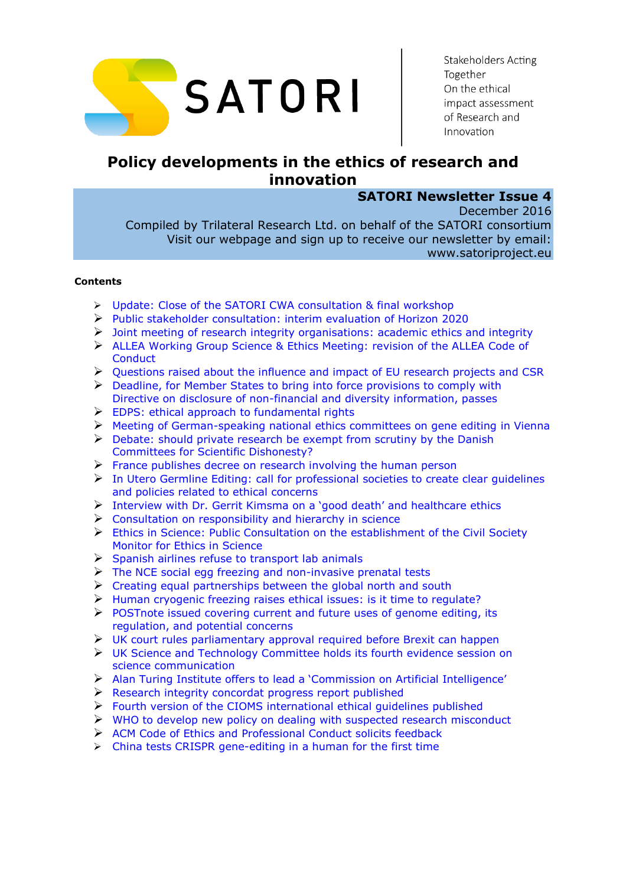

Stakeholders Acting Together On the ethical impact assessment of Research and Innovation

### **Policy developments in the ethics of research and innovation**

#### **SATORI Newsletter Issue 4**

December 2016

 Compiled by Trilateral Research Ltd. on behalf of the SATORI consortium Visit our webpage and sign up to receive our newsletter by email: www.satoriproject.eu

#### **Contents**

- > [Update: Close of the SATORI CWA consultation & final workshop](#page-1-0)
- [Public stakeholder consultation: interim evaluation of Horizon 2020](#page-1-1)
- $\triangleright$  [Joint meeting of research integrity organisations: academic ethics and integrity](#page-1-2)
- [ALLEA Working Group Science & Ethics Meeting: revision of the ALLEA Code of](#page-1-3)  **[Conduct](#page-1-3)**
- [Questions raised about the influence and impact of EU research projects and CSR](#page-1-4)
- [Deadline, for Member States to bring into force provisions to comply with](#page-2-0)  [Directive on disclosure of non-financial and diversity information, passes](#page-2-0)
- [EDPS: ethical approach to fundamental rights](#page-2-1)
- [Meeting of German-speaking national ethics committees on gene editing in Vienna](#page-2-2)
- $\triangleright$  Debate: should private research be exempt from scrutiny by the Danish [Committees for Scientific Dishonesty?](#page-2-3)
- [France publishes decree on research involving the human person](#page-3-0)
- $\triangleright$  In Utero Germline Editing: call for professional societies to create clear guidelines [and policies related to ethical concerns](#page-3-1)
- [Interview with Dr. Gerrit Kimsma on a 'good death' and healthcare ethics](#page-3-2)
- $\triangleright$  [Consultation on responsibility and hierarchy in science](#page-3-3)
- $\triangleright$  Ethics in Science: Public Consultation on the establishment of the Civil Society [Monitor for Ethics in Science](#page-4-0)
- $\triangleright$  [Spanish airlines refuse to transport lab animals](#page-4-1)
- $\triangleright$  The NCE [social egg freezing and non-invasive prenatal tests](#page-4-2)
- $\triangleright$  Creating equal partnerships between the global north and south
- $\triangleright$  [Human cryogenic freezing raises ethical issues: is it time to regulate?](#page-5-1)
- $\triangleright$  POSTnote issued covering current and future uses of genome editing, its [regulation, and potential concerns](#page-5-2)
- [UK court rules parliamentary approval required before Brexit can happen](#page-5-3)
- $\triangleright$  UK Science and Technology Committee holds its fourth evidence session on [science communication](#page-6-0)
- Alan [Turing Institute offers to lead a 'Commission on Artificial Intelligence'](#page-6-1)
- [Research integrity concordat progress report published](#page-6-2)
- $\triangleright$  [Fourth version of the CIOMS international ethical guidelines published](#page-6-3)
- $\triangleright$  [WHO to develop new policy on dealing with suspected research misconduct](#page-7-0)
- [ACM Code of Ethics and Professional Conduct solicits feedback](#page-7-1)
- [China tests CRISPR gene-editing in a human for the first time](#page-7-2)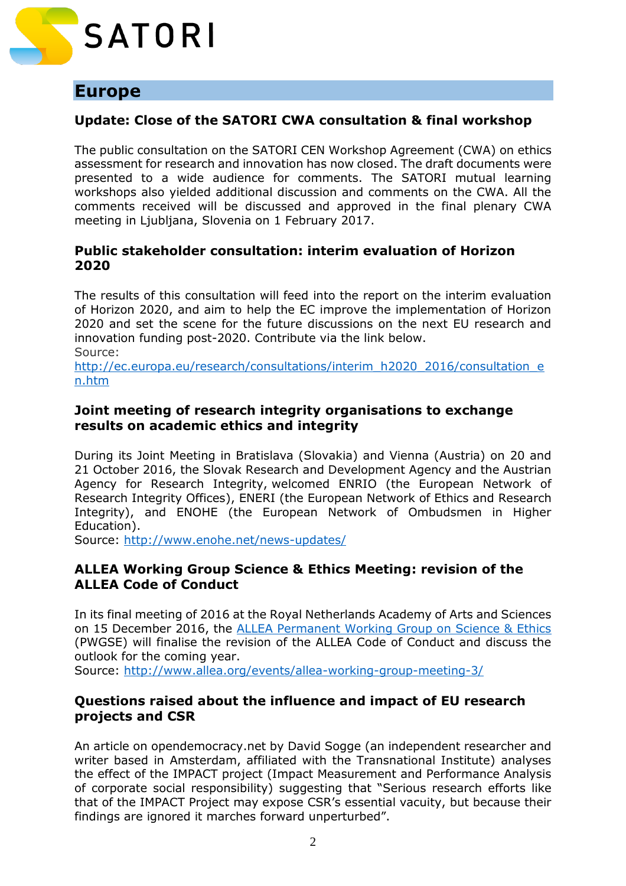

## **Europe**

### <span id="page-1-0"></span>**Update: Close of the SATORI CWA consultation & final workshop**

The public consultation on the SATORI CEN Workshop Agreement (CWA) on ethics assessment for research and innovation has now closed. The draft documents were presented to a wide audience for comments. The SATORI mutual learning workshops also yielded additional discussion and comments on the CWA. All the comments received will be discussed and approved in the final plenary CWA meeting in Ljubljana, Slovenia on 1 February 2017.

#### <span id="page-1-1"></span>**Public stakeholder consultation: interim evaluation of Horizon 2020**

The results of this consultation will feed into the report on the interim evaluation of Horizon 2020, and aim to help the EC improve the implementation of Horizon 2020 and set the scene for the future discussions on the next EU research and innovation funding post-2020. Contribute via the link below. Source:

[http://ec.europa.eu/research/consultations/interim\\_h2020\\_2016/consultation\\_e](http://ec.europa.eu/research/consultations/interim_h2020_2016/consultation_en.htm) [n.htm](http://ec.europa.eu/research/consultations/interim_h2020_2016/consultation_en.htm)

#### <span id="page-1-2"></span>**Joint meeting of research integrity organisations to exchange results on academic ethics and integrity**

During its Joint Meeting in Bratislava (Slovakia) and Vienna (Austria) on 20 and 21 October 2016, the Slovak Research and Development Agency and the Austrian Agency for Research Integrity, welcomed ENRIO (the European Network of Research Integrity Offices), ENERI (the European Network of Ethics and Research Integrity), and ENOHE (the European Network of Ombudsmen in Higher Education).

Source:<http://www.enohe.net/news-updates/>

#### <span id="page-1-3"></span>**ALLEA Working Group Science & Ethics Meeting: revision of the ALLEA Code of Conduct**

In its final meeting of 2016 at the Royal Netherlands Academy of Arts and Sciences on 15 December 2016, the [ALLEA Permanent Working Group on Science & Ethics](http://www.allea.org/permanent-working-group-science-ethics/)  (PWGSE) will finalise the revision of the ALLEA Code of Conduct and discuss the outlook for the coming year.

Source:<http://www.allea.org/events/allea-working-group-meeting-3/>

#### <span id="page-1-4"></span>**Questions raised about the influence and impact of EU research projects and CSR**

An article on opendemocracy.net by David Sogge (an independent researcher and writer based in Amsterdam, affiliated with the Transnational Institute) analyses the effect of the IMPACT project (Impact Measurement and Performance Analysis of corporate social responsibility) suggesting that "Serious research efforts like that of the IMPACT Project may expose CSR's essential vacuity, but because their findings are ignored it marches forward unperturbed".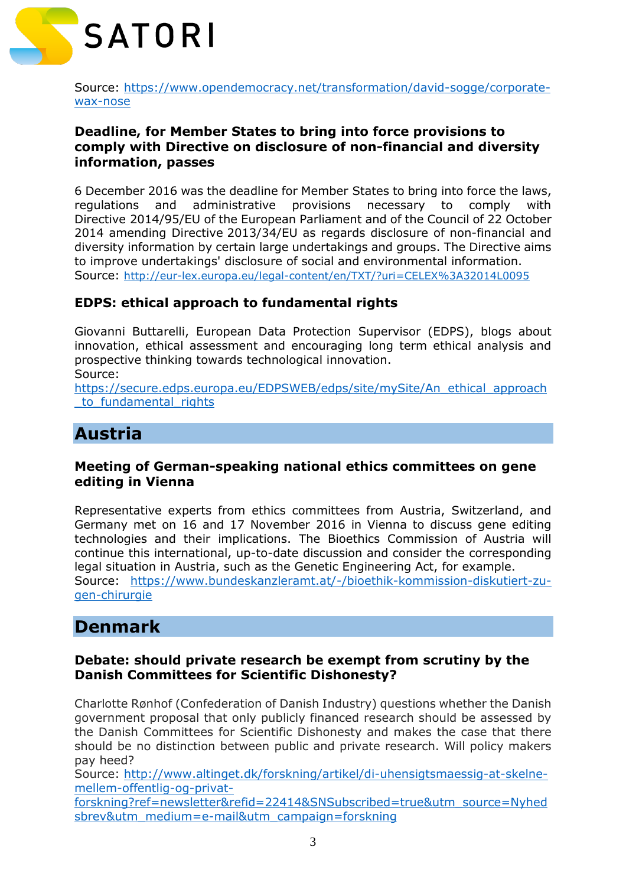

Source: [https://www.opendemocracy.net/transformation/david-sogge/corporate](https://www.opendemocracy.net/transformation/david-sogge/corporate-wax-nose)[wax-nose](https://www.opendemocracy.net/transformation/david-sogge/corporate-wax-nose)

#### <span id="page-2-0"></span>**Deadline, for Member States to bring into force provisions to comply with Directive on disclosure of non-financial and diversity information, passes**

6 December 2016 was the deadline for Member States to bring into force the laws, regulations and administrative provisions necessary to comply with Directive 2014/95/EU of the European Parliament and of the Council of 22 October 2014 amending Directive 2013/34/EU as regards disclosure of non-financial and diversity information by certain large undertakings and groups. The Directive aims to improve undertakings' disclosure of social and environmental information. Source: <http://eur-lex.europa.eu/legal-content/en/TXT/?uri=CELEX%3A32014L0095>

### <span id="page-2-1"></span>**EDPS: ethical approach to fundamental rights**

Giovanni Buttarelli, European Data Protection Supervisor (EDPS), blogs about innovation, ethical assessment and encouraging long term ethical analysis and prospective thinking towards technological innovation.

Source:

[https://secure.edps.europa.eu/EDPSWEB/edps/site/mySite/An\\_ethical\\_approach](https://secure.edps.europa.eu/EDPSWEB/edps/site/mySite/An_ethical_approach_to_fundamental_rights) to fundamental rights

## **Austria**

#### <span id="page-2-2"></span>**Meeting of German-speaking national ethics committees on gene editing in Vienna**

Representative experts from ethics committees from Austria, Switzerland, and Germany met on 16 and 17 November 2016 in Vienna to discuss gene editing technologies and their implications. The Bioethics Commission of Austria will continue this international, up-to-date discussion and consider the corresponding legal situation in Austria, such as the Genetic Engineering Act, for example. Source: [https://www.bundeskanzleramt.at/-/bioethik-kommission-diskutiert-zu](https://www.bundeskanzleramt.at/-/bioethik-kommission-diskutiert-zu-gen-chirurgie)[gen-chirurgie](https://www.bundeskanzleramt.at/-/bioethik-kommission-diskutiert-zu-gen-chirurgie)

### **Denmark**

#### <span id="page-2-3"></span>**Debate: should private research be exempt from scrutiny by the Danish Committees for Scientific Dishonesty?**

Charlotte Rønhof (Confederation of Danish Industry) questions whether the Danish government proposal that only publicly financed research should be assessed by the Danish Committees for Scientific Dishonesty and makes the case that there should be no distinction between public and private research. Will policy makers pay heed?

Source: [http://www.altinget.dk/forskning/artikel/di-uhensigtsmaessig-at-skelne](http://www.altinget.dk/forskning/artikel/di-uhensigtsmaessig-at-skelne-mellem-offentlig-og-privat-forskning?ref=newsletter&refid=22414&SNSubscribed=true&utm_source=Nyhedsbrev&utm_medium=e-mail&utm_campaign=forskning)[mellem-offentlig-og-privat-](http://www.altinget.dk/forskning/artikel/di-uhensigtsmaessig-at-skelne-mellem-offentlig-og-privat-forskning?ref=newsletter&refid=22414&SNSubscribed=true&utm_source=Nyhedsbrev&utm_medium=e-mail&utm_campaign=forskning)

[forskning?ref=newsletter&refid=22414&SNSubscribed=true&utm\\_source=Nyhed](http://www.altinget.dk/forskning/artikel/di-uhensigtsmaessig-at-skelne-mellem-offentlig-og-privat-forskning?ref=newsletter&refid=22414&SNSubscribed=true&utm_source=Nyhedsbrev&utm_medium=e-mail&utm_campaign=forskning) [sbrev&utm\\_medium=e-mail&utm\\_campaign=forskning](http://www.altinget.dk/forskning/artikel/di-uhensigtsmaessig-at-skelne-mellem-offentlig-og-privat-forskning?ref=newsletter&refid=22414&SNSubscribed=true&utm_source=Nyhedsbrev&utm_medium=e-mail&utm_campaign=forskning)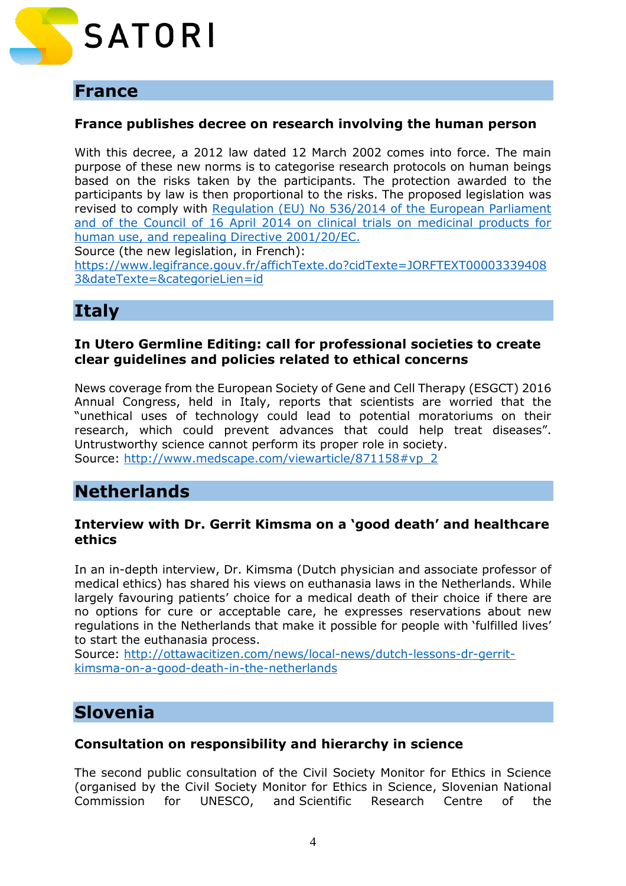

## **France**

#### <span id="page-3-0"></span>**France publishes decree on research involving the human person**

With this decree, a 2012 law dated 12 March 2002 comes into force. The main purpose of these new norms is to categorise research protocols on human beings based on the risks taken by the participants. The protection awarded to the participants by law is then proportional to the risks. The proposed legislation was revised to comply with [Regulation \(EU\) No 536/2014 of the European Parliament](http://ec.europa.eu/health/files/eudralex/vol-1/reg_2014_536/reg_2014_536_en.pdf)  [and of the Council of 16 April 2014 on clinical trials on medicinal products for](http://ec.europa.eu/health/files/eudralex/vol-1/reg_2014_536/reg_2014_536_en.pdf)  [human use, and repealing Directive 2001/20/EC.](http://ec.europa.eu/health/files/eudralex/vol-1/reg_2014_536/reg_2014_536_en.pdf)

Source (the new legislation, in French): [https://www.legifrance.gouv.fr/affichTexte.do?cidTexte=JORFTEXT00003339408](https://www.legifrance.gouv.fr/affichTexte.do?cidTexte=JORFTEXT000033394083&dateTexte=&categorieLien=id) [3&dateTexte=&categorieLien=id](https://www.legifrance.gouv.fr/affichTexte.do?cidTexte=JORFTEXT000033394083&dateTexte=&categorieLien=id)

## **Italy**

#### <span id="page-3-1"></span>**In Utero Germline Editing: call for professional societies to create clear guidelines and policies related to ethical concerns**

News coverage from the [European Society of Gene and Cell Therapy \(ESGCT\) 2016](http://www.medscape.com/viewcollection/33879)  [Annual Congress,](http://www.medscape.com/viewcollection/33879) held in Italy, reports that scientists are worried that the "unethical uses of technology could lead to potential moratoriums on their research, which could prevent advances that could help treat diseases". Untrustworthy science cannot perform its proper role in society. Source: [http://www.medscape.com/viewarticle/871158#vp\\_2](http://www.medscape.com/viewarticle/871158#vp_2)

## **Netherlands**

#### <span id="page-3-2"></span>**Interview with Dr. Gerrit Kimsma on a 'good death' and healthcare ethics**

In an in-depth interview, Dr. Kimsma (Dutch physician and associate professor of medical ethics) has shared his views on euthanasia laws in the Netherlands. While largely favouring patients' choice for a medical death of their choice if there are no options for cure or acceptable care, he expresses reservations about new regulations in the Netherlands that make it possible for people with 'fulfilled lives' to start the euthanasia process.

Source: [http://ottawacitizen.com/news/local-news/dutch-lessons-dr-gerrit](http://ottawacitizen.com/news/local-news/dutch-lessons-dr-gerrit-kimsma-on-a-good-death-in-the-netherlands)[kimsma-on-a-good-death-in-the-netherlands](http://ottawacitizen.com/news/local-news/dutch-lessons-dr-gerrit-kimsma-on-a-good-death-in-the-netherlands)

## **Slovenia**

#### <span id="page-3-3"></span>**Consultation on responsibility and hierarchy in science**

The second public consultation of the Civil Society Monitor for Ethics in Science (organised by the Civil Society Monitor for Ethics in Science, Slovenian National Commission for UNESCO, and Scientific Research Centre of the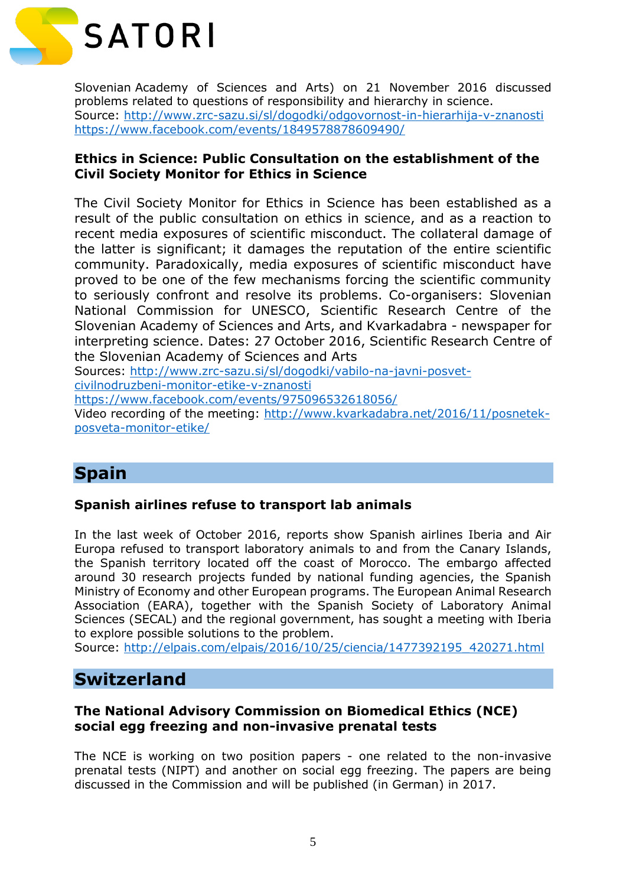

Slovenian Academy of Sciences and Arts) on 21 November 2016 discussed problems related to questions of responsibility and hierarchy in science. Source:<http://www.zrc-sazu.si/sl/dogodki/odgovornost-in-hierarhija-v-znanosti> <https://www.facebook.com/events/1849578878609490/>

#### <span id="page-4-0"></span>**Ethics in Science: Public Consultation on the establishment of the Civil Society Monitor for Ethics in Science**

The Civil Society Monitor for Ethics in Science has been established as a result of the public consultation on ethics in science, and as a reaction to recent media exposures of scientific misconduct. The collateral damage of the latter is significant; it damages the reputation of the entire scientific community. Paradoxically, media exposures of scientific misconduct have proved to be one of the few mechanisms forcing the scientific community to seriously confront and resolve its problems. Co-organisers: Slovenian National Commission for UNESCO, Scientific Research Centre of the Slovenian Academy of Sciences and Arts, and Kvarkadabra - newspaper for interpreting science. Dates: 27 October 2016, Scientific Research Centre of the Slovenian Academy of Sciences and Arts

Sources: [http://www.zrc-sazu.si/sl/dogodki/vabilo-na-javni-posvet-](http://www.zrc-sazu.si/sl/dogodki/vabilo-na-javni-posvet-civilnodruzbeni-monitor-etike-v-znanosti)

[civilnodruzbeni-monitor-etike-v-znanosti](http://www.zrc-sazu.si/sl/dogodki/vabilo-na-javni-posvet-civilnodruzbeni-monitor-etike-v-znanosti)

<https://www.facebook.com/events/975096532618056/>

Video recording of the meeting: [http://www.kvarkadabra.net/2016/11/posnetek](http://www.kvarkadabra.net/2016/11/posnetek-posveta-monitor-etike/)[posveta-monitor-etike/](http://www.kvarkadabra.net/2016/11/posnetek-posveta-monitor-etike/)

## **Spain**

### <span id="page-4-1"></span>**Spanish airlines refuse to transport lab animals**

In the last week of October 2016, reports show Spanish airlines Iberia and Air Europa refused to transport laboratory animals to and from the Canary Islands, the Spanish territory located off the coast of Morocco. The embargo affected around 30 research projects funded by national funding agencies, the Spanish Ministry of Economy and other European programs. The European Animal Research Association (EARA), together with the Spanish Society of Laboratory Animal Sciences (SECAL) and the regional government, has sought a meeting with Iberia to explore possible solutions to the problem.

Source: [http://elpais.com/elpais/2016/10/25/ciencia/1477392195\\_420271.html](http://elpais.com/elpais/2016/10/25/ciencia/1477392195_420271.html)

## **Switzerland**

#### <span id="page-4-2"></span>**The National Advisory Commission on Biomedical Ethics (NCE) social egg freezing and non-invasive prenatal tests**

The NCE is working on two position papers - one related to the non-invasive prenatal tests (NIPT) and another on social egg freezing. The papers are being discussed in the Commission and will be published (in German) in 2017.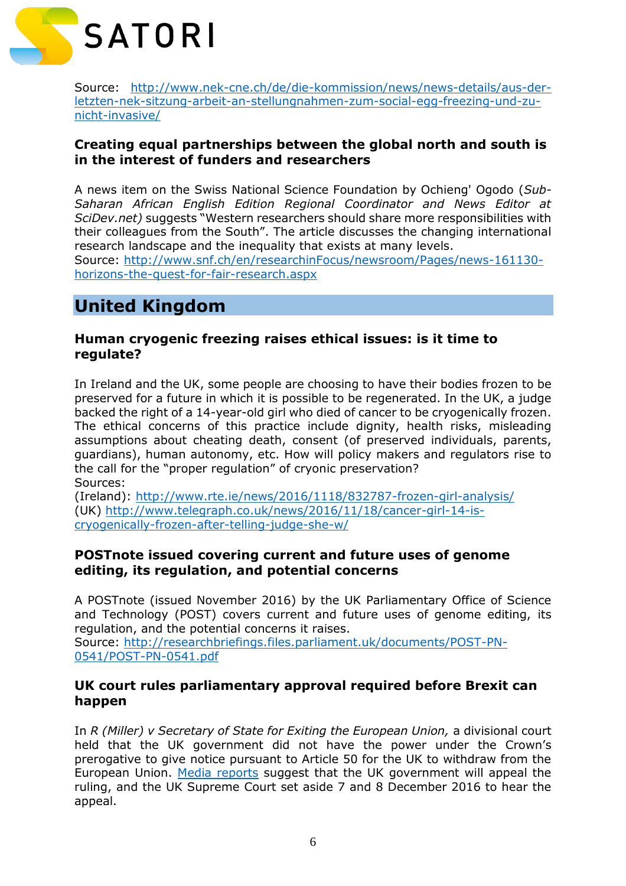

Source: [http://www.nek-cne.ch/de/die-kommission/news/news-details/aus-der](http://www.nek-cne.ch/de/die-kommission/news/news-details/aus-der-letzten-nek-sitzung-arbeit-an-stellungnahmen-zum-social-egg-freezing-und-zu-nicht-invasive/)[letzten-nek-sitzung-arbeit-an-stellungnahmen-zum-social-egg-freezing-und-zu](http://www.nek-cne.ch/de/die-kommission/news/news-details/aus-der-letzten-nek-sitzung-arbeit-an-stellungnahmen-zum-social-egg-freezing-und-zu-nicht-invasive/)[nicht-invasive/](http://www.nek-cne.ch/de/die-kommission/news/news-details/aus-der-letzten-nek-sitzung-arbeit-an-stellungnahmen-zum-social-egg-freezing-und-zu-nicht-invasive/)

#### <span id="page-5-0"></span>**Creating equal partnerships between the global north and south is in the interest of funders and researchers**

A news item on the Swiss National Science Foundation by Ochieng' Ogodo (*Sub-Saharan African English Edition Regional Coordinator and News Editor at SciDev.net)* suggests "Western researchers should share more responsibilities with their colleagues from the South". The article discusses the changing international research landscape and the inequality that exists at many levels. Source: [http://www.snf.ch/en/researchinFocus/newsroom/Pages/news-161130-](http://www.snf.ch/en/researchinFocus/newsroom/Pages/news-161130-horizons-the-quest-for-fair-research.aspx)

[horizons-the-quest-for-fair-research.aspx](http://www.snf.ch/en/researchinFocus/newsroom/Pages/news-161130-horizons-the-quest-for-fair-research.aspx)

## **United Kingdom**

#### <span id="page-5-1"></span>**Human cryogenic freezing raises ethical issues: is it time to regulate?**

In Ireland and the UK, some people are choosing to have their bodies frozen to be preserved for a future in which it is possible to be regenerated. In the UK, a judge backed the right of a 14-year-old girl who died of cancer to be cryogenically frozen. The ethical concerns of this practice include dignity, health risks, misleading assumptions about cheating death, consent (of preserved individuals, parents, guardians), human autonomy, etc. How will policy makers and regulators rise to the call for the ["proper regulation" of cryonic preservation](http://www.telegraph.co.uk/books/what-to-read/don-delillo-if-science-makes-life-after-death-possible-we-have-t/)? Sources:

(Ireland):<http://www.rte.ie/news/2016/1118/832787-frozen-girl-analysis/> (UK) [http://www.telegraph.co.uk/news/2016/11/18/cancer-girl-14-is](http://www.telegraph.co.uk/news/2016/11/18/cancer-girl-14-is-cryogenically-frozen-after-telling-judge-she-w/)[cryogenically-frozen-after-telling-judge-she-w/](http://www.telegraph.co.uk/news/2016/11/18/cancer-girl-14-is-cryogenically-frozen-after-telling-judge-she-w/)

#### <span id="page-5-2"></span>**POSTnote issued covering current and future uses of genome editing, its regulation, and potential concerns**

A POSTnote (issued November 2016) by the UK Parliamentary Office of Science and Technology (POST) covers current and future uses of genome editing, its regulation, and the potential concerns it raises.

Source: [http://researchbriefings.files.parliament.uk/documents/POST-PN-](http://researchbriefings.files.parliament.uk/documents/POST-PN-0541/POST-PN-0541.pdf)[0541/POST-PN-0541.pdf](http://researchbriefings.files.parliament.uk/documents/POST-PN-0541/POST-PN-0541.pdf)

#### <span id="page-5-3"></span>**UK court rules parliamentary approval required before Brexit can happen**

In *R (Miller) v Secretary of State for Exiting the European Union,* a divisional court held that the UK government did not have the power under the Crown's prerogative to give notice pursuant to Article 50 for the UK to withdraw from the European Union. [Media reports](https://www.theguardian.com/politics/2016/nov/03/parliament-must-trigger-brexit-high-court-rules) suggest that the UK government will appeal the ruling, and the UK Supreme Court set aside 7 and 8 December 2016 to hear the appeal.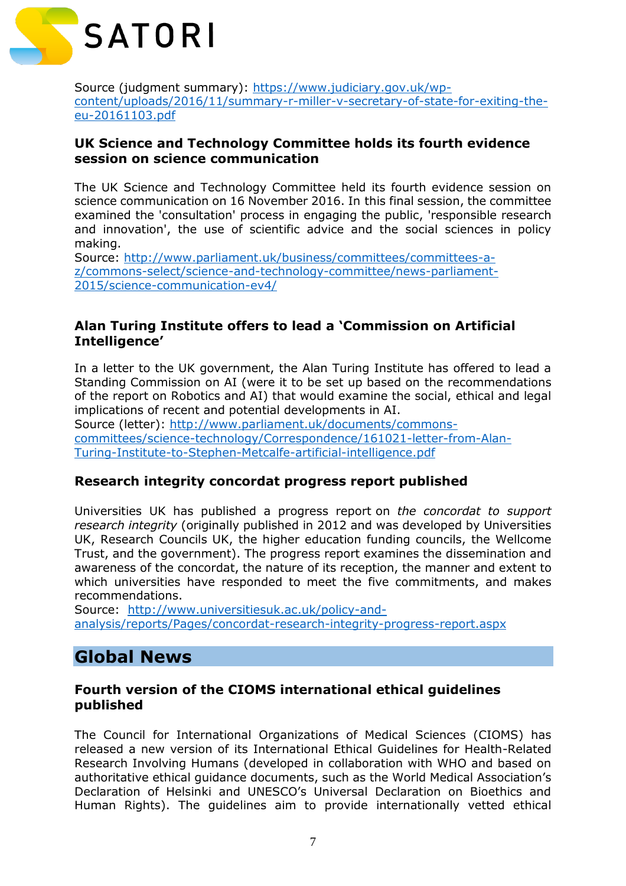

Source (judgment summary): [https://www.judiciary.gov.uk/wp](https://www.judiciary.gov.uk/wp-content/uploads/2016/11/summary-r-miller-v-secretary-of-state-for-exiting-the-eu-20161103.pdf)[content/uploads/2016/11/summary-r-miller-v-secretary-of-state-for-exiting-the](https://www.judiciary.gov.uk/wp-content/uploads/2016/11/summary-r-miller-v-secretary-of-state-for-exiting-the-eu-20161103.pdf)[eu-20161103.pdf](https://www.judiciary.gov.uk/wp-content/uploads/2016/11/summary-r-miller-v-secretary-of-state-for-exiting-the-eu-20161103.pdf)

#### <span id="page-6-0"></span>**UK Science and Technology Committee holds its fourth evidence session on science communication**

The UK Science and Technology Committee held its fourth evidence session on science communication on 16 November 2016. In this final session, the committee examined the 'consultation' process in engaging the public, 'responsible research and innovation', the use of scientific advice and the social sciences in policy making.

Source: [http://www.parliament.uk/business/committees/committees-a](http://www.parliament.uk/business/committees/committees-a-z/commons-select/science-and-technology-committee/news-parliament-2015/science-communication-ev4/)[z/commons-select/science-and-technology-committee/news-parliament-](http://www.parliament.uk/business/committees/committees-a-z/commons-select/science-and-technology-committee/news-parliament-2015/science-communication-ev4/)[2015/science-communication-ev4/](http://www.parliament.uk/business/committees/committees-a-z/commons-select/science-and-technology-committee/news-parliament-2015/science-communication-ev4/)

#### <span id="page-6-1"></span>**Alan Turing Institute offers to lead a 'Commission on Artificial Intelligence'**

In a letter to the UK government, the Alan Turing Institute has offered to lead a Standing Commission on AI (were it to be set up based on the recommendations of the report on Robotics and AI) that would examine the social, ethical and legal implications of recent and potential developments in AI.

Source (letter): [http://www.parliament.uk/documents/commons](http://www.parliament.uk/documents/commons-committees/science-technology/Correspondence/161021-letter-from-Alan-Turing-Institute-to-Stephen-Metcalfe-artificial-intelligence.pdf)[committees/science-technology/Correspondence/161021-letter-from-Alan-](http://www.parliament.uk/documents/commons-committees/science-technology/Correspondence/161021-letter-from-Alan-Turing-Institute-to-Stephen-Metcalfe-artificial-intelligence.pdf)[Turing-Institute-to-Stephen-Metcalfe-artificial-intelligence.pdf](http://www.parliament.uk/documents/commons-committees/science-technology/Correspondence/161021-letter-from-Alan-Turing-Institute-to-Stephen-Metcalfe-artificial-intelligence.pdf)

#### <span id="page-6-2"></span>**Research integrity concordat progress report published**

Universities UK has published a progress report on *the concordat to support research integrity* (originally published in 2012 and was developed by Universities UK, Research Councils UK, the higher education funding councils, the Wellcome Trust, and the government). The progress report examines the dissemination and awareness of the concordat, the nature of its reception, the manner and extent to which universities have responded to meet the five commitments, and makes recommendations.

Source:[http://www.universitiesuk.ac.uk/policy-and](http://www.universitiesuk.ac.uk/policy-and-analysis/reports/Pages/concordat-research-integrity-progress-report.aspx)[analysis/reports/Pages/concordat-research-integrity-progress-report.aspx](http://www.universitiesuk.ac.uk/policy-and-analysis/reports/Pages/concordat-research-integrity-progress-report.aspx)

## **Global News**

#### <span id="page-6-3"></span>**Fourth version of the CIOMS international ethical guidelines published**

The Council for International Organizations of Medical Sciences (CIOMS) has released a new version of its International Ethical Guidelines for Health-Related Research Involving Humans (developed in collaboration with WHO and based on authoritative ethical guidance documents, such as the World Medical Association's Declaration of Helsinki and UNESCO's Universal Declaration on Bioethics and Human Rights). The guidelines aim to provide internationally vetted ethical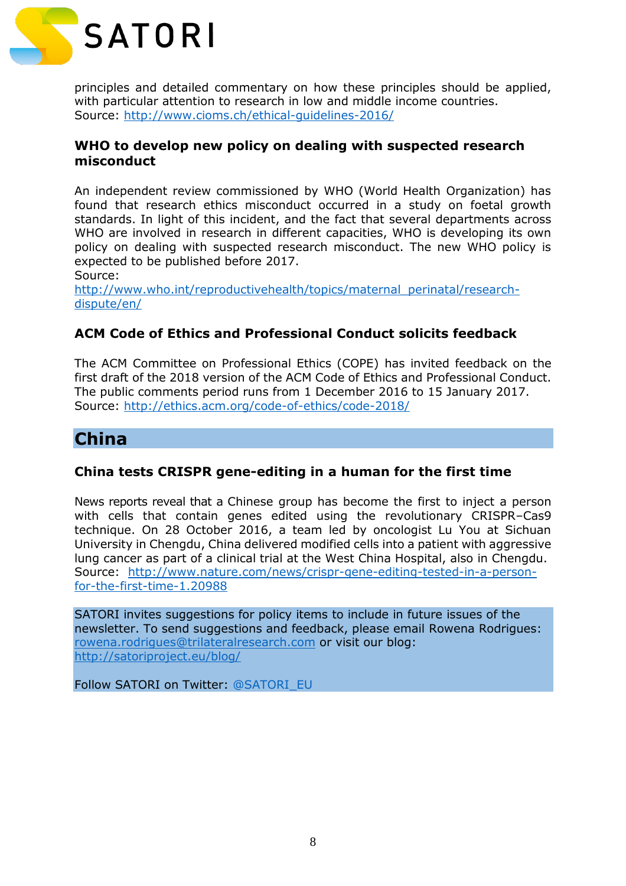

principles and detailed commentary on how these principles should be applied, with particular attention to research in low and middle income countries. Source:<http://www.cioms.ch/ethical-guidelines-2016/>

#### <span id="page-7-0"></span>**WHO to develop new policy on dealing with suspected research misconduct**

An independent review commissioned by WHO (World Health Organization) has found that research ethics misconduct occurred in a study on foetal growth standards. In light of this incident, and the fact that several departments across WHO are involved in research in different capacities, WHO is developing its own policy on dealing with suspected research misconduct. The new WHO policy is expected to be published before 2017. Source:

[http://www.who.int/reproductivehealth/topics/maternal\\_perinatal/research](http://www.who.int/reproductivehealth/topics/maternal_perinatal/research-dispute/en/)[dispute/en/](http://www.who.int/reproductivehealth/topics/maternal_perinatal/research-dispute/en/)

#### <span id="page-7-1"></span>**ACM Code of Ethics and Professional Conduct solicits feedback**

The ACM Committee on Professional Ethics (COPE) has invited feedback on the first draft of the 2018 version of the ACM Code of Ethics and Professional Conduct. The public comments period runs from 1 December 2016 to 15 January 2017. Source:<http://ethics.acm.org/code-of-ethics/code-2018/>

### **China**

#### <span id="page-7-2"></span>**China tests CRISPR gene-editing in a human for the first time**

News reports reveal that a Chinese group has become the first to inject a person with cells that contain genes edited using the revolutionary CRISPR–Cas9 technique. On 28 October 2016, a team led by oncologist Lu You at Sichuan University in Chengdu, China delivered modified cells into a patient with aggressive lung cancer as part of a clinical trial at the West China Hospital, also in Chengdu. Source: [http://www.nature.com/news/crispr-gene-editing-tested-in-a-person](http://www.nature.com/news/crispr-gene-editing-tested-in-a-person-for-the-first-time-1.20988)[for-the-first-time-1.20988](http://www.nature.com/news/crispr-gene-editing-tested-in-a-person-for-the-first-time-1.20988)

SATORI invites suggestions for policy items to include in future issues of the newsletter. To send suggestions and feedback, please email Rowena Rodrigues: [rowena.rodrigues@trilateralresearch.com](mailto:rowena.rodrigues@trilateralresearch.com) or visit our blog: <http://satoriproject.eu/blog/>

Follow SATORI on Twitter: @SATORI\_EU